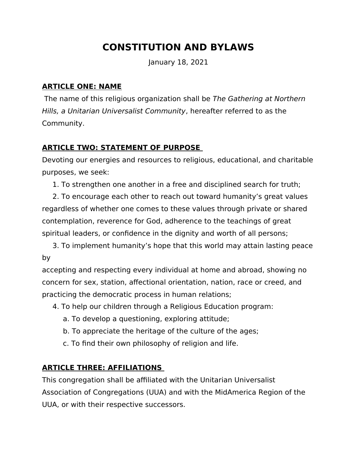# **CONSTITUTION AND BYLAWS**

January 18, 2021

#### **ARTICLE ONE: NAME**

 The name of this religious organization shall be The Gathering at Northern Hills, a Unitarian Universalist Community, hereafter referred to as the Community.

# **ARTICLE TWO: STATEMENT OF PURPOSE**

Devoting our energies and resources to religious, educational, and charitable purposes, we seek:

1. To strengthen one another in a free and disciplined search for truth;

2. To encourage each other to reach out toward humanity's great values regardless of whether one comes to these values through private or shared contemplation, reverence for God, adherence to the teachings of great spiritual leaders, or confidence in the dignity and worth of all persons;

3. To implement humanity's hope that this world may attain lasting peace by

accepting and respecting every individual at home and abroad, showing no concern for sex, station, affectional orientation, nation, race or creed, and practicing the democratic process in human relations;

- 4. To help our children through a Religious Education program:
	- a. To develop a questioning, exploring attitude;
	- b. To appreciate the heritage of the culture of the ages;
	- c. To find their own philosophy of religion and life.

# **ARTICLE THREE: AFFILIATIONS**

This congregation shall be affiliated with the Unitarian Universalist Association of Congregations (UUA) and with the MidAmerica Region of the UUA, or with their respective successors.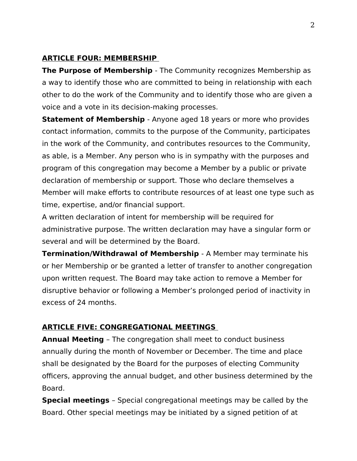#### **ARTICLE FOUR: MEMBERSHIP**

**The Purpose of Membership** - The Community recognizes Membership as a way to identify those who are committed to being in relationship with each other to do the work of the Community and to identify those who are given a voice and a vote in its decision-making processes.

**Statement of Membership** - Anyone aged 18 years or more who provides contact information, commits to the purpose of the Community, participates in the work of the Community, and contributes resources to the Community, as able, is a Member. Any person who is in sympathy with the purposes and program of this congregation may become a Member by a public or private declaration of membership or support. Those who declare themselves a Member will make efforts to contribute resources of at least one type such as time, expertise, and/or financial support.

A written declaration of intent for membership will be required for administrative purpose. The written declaration may have a singular form or several and will be determined by the Board.

**Termination/Withdrawal of Membership** - A Member may terminate his or her Membership or be granted a letter of transfer to another congregation upon written request. The Board may take action to remove a Member for disruptive behavior or following a Member's prolonged period of inactivity in excess of 24 months.

#### **ARTICLE FIVE: CONGREGATIONAL MEETINGS**

**Annual Meeting** – The congregation shall meet to conduct business annually during the month of November or December. The time and place shall be designated by the Board for the purposes of electing Community officers, approving the annual budget, and other business determined by the Board.

**Special meetings** – Special congregational meetings may be called by the Board. Other special meetings may be initiated by a signed petition of at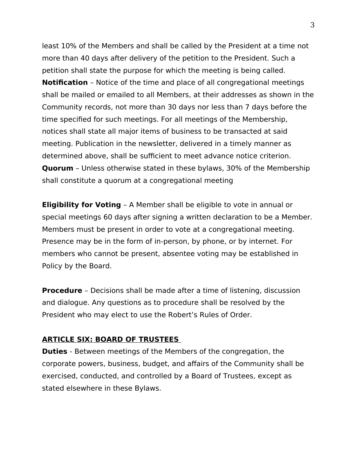least 10% of the Members and shall be called by the President at a time not more than 40 days after delivery of the petition to the President. Such a petition shall state the purpose for which the meeting is being called. **Notification** – Notice of the time and place of all congregational meetings shall be mailed or emailed to all Members, at their addresses as shown in the Community records, not more than 30 days nor less than 7 days before the time specified for such meetings. For all meetings of the Membership, notices shall state all major items of business to be transacted at said meeting. Publication in the newsletter, delivered in a timely manner as determined above, shall be sufficient to meet advance notice criterion. **Quorum** – Unless otherwise stated in these bylaws, 30% of the Membership shall constitute a quorum at a congregational meeting

**Eligibility for Voting** – A Member shall be eligible to vote in annual or special meetings 60 days after signing a written declaration to be a Member. Members must be present in order to vote at a congregational meeting. Presence may be in the form of in-person, by phone, or by internet. For members who cannot be present, absentee voting may be established in Policy by the Board.

**Procedure** – Decisions shall be made after a time of listening, discussion and dialogue. Any questions as to procedure shall be resolved by the President who may elect to use the Robert's Rules of Order.

#### **ARTICLE SIX: BOARD OF TRUSTEES**

**Duties** - Between meetings of the Members of the congregation, the corporate powers, business, budget, and affairs of the Community shall be exercised, conducted, and controlled by a Board of Trustees, except as stated elsewhere in these Bylaws.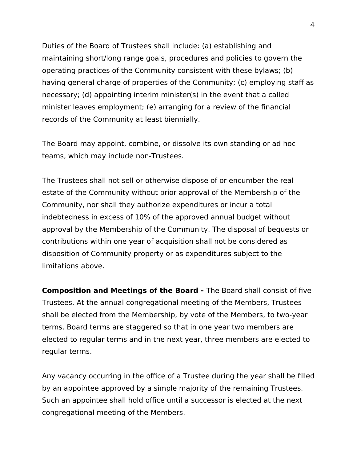Duties of the Board of Trustees shall include: (a) establishing and maintaining short/long range goals, procedures and policies to govern the operating practices of the Community consistent with these bylaws; (b) having general charge of properties of the Community; (c) employing staff as necessary; (d) appointing interim minister(s) in the event that a called minister leaves employment; (e) arranging for a review of the financial records of the Community at least biennially.

The Board may appoint, combine, or dissolve its own standing or ad hoc teams, which may include non-Trustees.

The Trustees shall not sell or otherwise dispose of or encumber the real estate of the Community without prior approval of the Membership of the Community, nor shall they authorize expenditures or incur a total indebtedness in excess of 10% of the approved annual budget without approval by the Membership of the Community. The disposal of bequests or contributions within one year of acquisition shall not be considered as disposition of Community property or as expenditures subject to the limitations above.

**Composition and Meetings of the Board -** The Board shall consist of five Trustees. At the annual congregational meeting of the Members, Trustees shall be elected from the Membership, by vote of the Members, to two-year terms. Board terms are staggered so that in one year two members are elected to regular terms and in the next year, three members are elected to regular terms.

Any vacancy occurring in the office of a Trustee during the year shall be filled by an appointee approved by a simple majority of the remaining Trustees. Such an appointee shall hold office until a successor is elected at the next congregational meeting of the Members.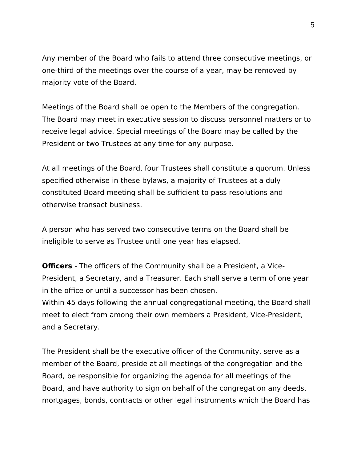Any member of the Board who fails to attend three consecutive meetings, or one-third of the meetings over the course of a year, may be removed by majority vote of the Board.

Meetings of the Board shall be open to the Members of the congregation. The Board may meet in executive session to discuss personnel matters or to receive legal advice. Special meetings of the Board may be called by the President or two Trustees at any time for any purpose.

At all meetings of the Board, four Trustees shall constitute a quorum. Unless specified otherwise in these bylaws, a majority of Trustees at a duly constituted Board meeting shall be sufficient to pass resolutions and otherwise transact business.

A person who has served two consecutive terms on the Board shall be ineligible to serve as Trustee until one year has elapsed.

**Officers** - The officers of the Community shall be a President, a Vice-President, a Secretary, and a Treasurer. Each shall serve a term of one year in the office or until a successor has been chosen. Within 45 days following the annual congregational meeting, the Board shall

meet to elect from among their own members a President, Vice-President, and a Secretary.

The President shall be the executive officer of the Community, serve as a member of the Board, preside at all meetings of the congregation and the Board, be responsible for organizing the agenda for all meetings of the Board, and have authority to sign on behalf of the congregation any deeds, mortgages, bonds, contracts or other legal instruments which the Board has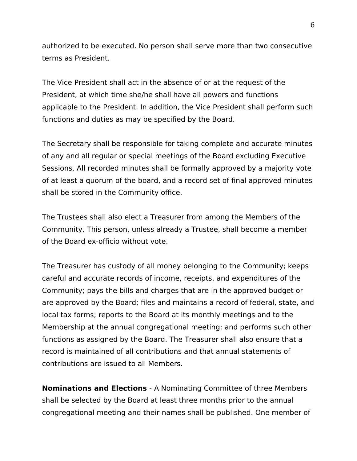authorized to be executed. No person shall serve more than two consecutive terms as President.

The Vice President shall act in the absence of or at the request of the President, at which time she/he shall have all powers and functions applicable to the President. In addition, the Vice President shall perform such functions and duties as may be specified by the Board.

The Secretary shall be responsible for taking complete and accurate minutes of any and all regular or special meetings of the Board excluding Executive Sessions. All recorded minutes shall be formally approved by a majority vote of at least a quorum of the board, and a record set of final approved minutes shall be stored in the Community office.

The Trustees shall also elect a Treasurer from among the Members of the Community. This person, unless already a Trustee, shall become a member of the Board ex-officio without vote.

The Treasurer has custody of all money belonging to the Community; keeps careful and accurate records of income, receipts, and expenditures of the Community; pays the bills and charges that are in the approved budget or are approved by the Board; files and maintains a record of federal, state, and local tax forms; reports to the Board at its monthly meetings and to the Membership at the annual congregational meeting; and performs such other functions as assigned by the Board. The Treasurer shall also ensure that a record is maintained of all contributions and that annual statements of contributions are issued to all Members.

**Nominations and Elections** - A Nominating Committee of three Members shall be selected by the Board at least three months prior to the annual congregational meeting and their names shall be published. One member of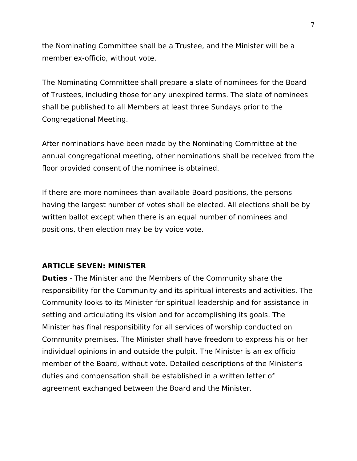the Nominating Committee shall be a Trustee, and the Minister will be a member ex-officio, without vote.

The Nominating Committee shall prepare a slate of nominees for the Board of Trustees, including those for any unexpired terms. The slate of nominees shall be published to all Members at least three Sundays prior to the Congregational Meeting.

After nominations have been made by the Nominating Committee at the annual congregational meeting, other nominations shall be received from the floor provided consent of the nominee is obtained.

If there are more nominees than available Board positions, the persons having the largest number of votes shall be elected. All elections shall be by written ballot except when there is an equal number of nominees and positions, then election may be by voice vote.

#### **ARTICLE SEVEN: MINISTER**

**Duties** - The Minister and the Members of the Community share the responsibility for the Community and its spiritual interests and activities. The Community looks to its Minister for spiritual leadership and for assistance in setting and articulating its vision and for accomplishing its goals. The Minister has final responsibility for all services of worship conducted on Community premises. The Minister shall have freedom to express his or her individual opinions in and outside the pulpit. The Minister is an ex officio member of the Board, without vote. Detailed descriptions of the Minister's duties and compensation shall be established in a written letter of agreement exchanged between the Board and the Minister.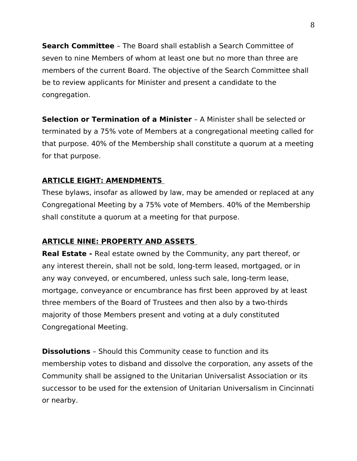**Search Committee** – The Board shall establish a Search Committee of seven to nine Members of whom at least one but no more than three are members of the current Board. The objective of the Search Committee shall be to review applicants for Minister and present a candidate to the congregation.

**Selection or Termination of a Minister** – A Minister shall be selected or terminated by a 75% vote of Members at a congregational meeting called for that purpose. 40% of the Membership shall constitute a quorum at a meeting for that purpose.

# **ARTICLE EIGHT: AMENDMENTS**

These bylaws, insofar as allowed by law, may be amended or replaced at any Congregational Meeting by a 75% vote of Members. 40% of the Membership shall constitute a quorum at a meeting for that purpose.

# **ARTICLE NINE: PROPERTY AND ASSETS**

**Real Estate -** Real estate owned by the Community, any part thereof, or any interest therein, shall not be sold, long-term leased, mortgaged, or in any way conveyed, or encumbered, unless such sale, long-term lease, mortgage, conveyance or encumbrance has first been approved by at least three members of the Board of Trustees and then also by a two-thirds majority of those Members present and voting at a duly constituted Congregational Meeting.

**Dissolutions** – Should this Community cease to function and its membership votes to disband and dissolve the corporation, any assets of the Community shall be assigned to the Unitarian Universalist Association or its successor to be used for the extension of Unitarian Universalism in Cincinnati or nearby.